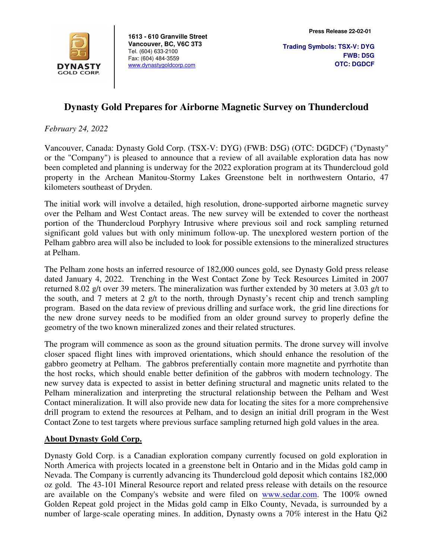

**1613 - 610 Granville Street Vancouver, BC, V6C 3T3**  Tel. (604) 633-2100 Fax: (604) 484-3559 www.dynastygoldcorp.com

## **Dynasty Gold Prepares for Airborne Magnetic Survey on Thundercloud**

*February 24, 2022* 

Vancouver, Canada: Dynasty Gold Corp. (TSX-V: DYG) (FWB: D5G) (OTC: DGDCF) ("Dynasty" or the "Company") is pleased to announce that a review of all available exploration data has now been completed and planning is underway for the 2022 exploration program at its Thundercloud gold property in the Archean Manitou-Stormy Lakes Greenstone belt in northwestern Ontario, 47 kilometers southeast of Dryden.

The initial work will involve a detailed, high resolution, drone-supported airborne magnetic survey over the Pelham and West Contact areas. The new survey will be extended to cover the northeast portion of the Thundercloud Porphyry Intrusive where previous soil and rock sampling returned significant gold values but with only minimum follow-up. The unexplored western portion of the Pelham gabbro area will also be included to look for possible extensions to the mineralized structures at Pelham.

The Pelham zone hosts an inferred resource of 182,000 ounces gold, see Dynasty Gold press release dated January 4, 2022. Trenching in the West Contact Zone by Teck Resources Limited in 2007 returned 8.02 g/t over 39 meters. The mineralization was further extended by 30 meters at 3.03 g/t to the south, and 7 meters at 2 g/t to the north, through Dynasty's recent chip and trench sampling program. Based on the data review of previous drilling and surface work, the grid line directions for the new drone survey needs to be modified from an older ground survey to properly define the geometry of the two known mineralized zones and their related structures.

The program will commence as soon as the ground situation permits. The drone survey will involve closer spaced flight lines with improved orientations, which should enhance the resolution of the gabbro geometry at Pelham. The gabbros preferentially contain more magnetite and pyrrhotite than the host rocks, which should enable better definition of the gabbros with modern technology. The new survey data is expected to assist in better defining structural and magnetic units related to the Pelham mineralization and interpreting the structural relationship between the Pelham and West Contact mineralization. It will also provide new data for locating the sites for a more comprehensive drill program to extend the resources at Pelham, and to design an initial drill program in the West Contact Zone to test targets where previous surface sampling returned high gold values in the area.

## **About Dynasty Gold Corp.**

Dynasty Gold Corp. is a Canadian exploration company currently focused on gold exploration in North America with projects located in a greenstone belt in Ontario and in the Midas gold camp in Nevada. The Company is currently advancing its Thundercloud gold deposit which contains 182,000 oz gold. The 43-101 Mineral Resource report and related press release with details on the resource are available on the Company's website and were filed on www.sedar.com. The 100% owned Golden Repeat gold project in the Midas gold camp in Elko County, Nevada, is surrounded by a number of large-scale operating mines. In addition, Dynasty owns a 70% interest in the Hatu Qi2